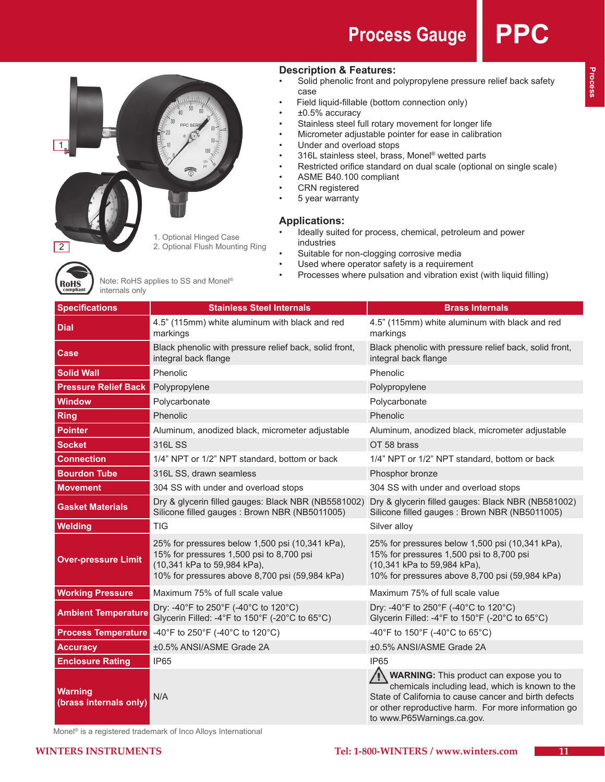# **Process Gauge**



**Description & Features:**

- • Solid phenolic front and polypropylene pressure relief back safety case
- Field liquid-fillable (bottom connection only)
- $±0.5%$  accuracy
- Stainless steel full rotary movement for longer life
- Micrometer adjustable pointer for ease in calibration
- Under and overload stops
- • 316L stainless steel, brass, Monel® wetted parts
- • Restricted orifice standard on dual scale (optional on single scale)
- • ASME B40.100 compliant
- • CRN registered
- • 5 year warranty

### **Applications:**

- Ideally suited for process, chemical, petroleum and power industries
- Suitable for non-clogging corrosive media
- Used where operator safety is a requirement
- Processes where pulsation and vibration exist (with liquid filling)



Note: RoHS applies to SS and Monel® internals only

| <b>Specifications</b>                    | <b>Stainless Steel Internals</b>                                                                                                                                             | <b>Brass Internals</b>                                                                                                                                                                                                                          |  |  |  |
|------------------------------------------|------------------------------------------------------------------------------------------------------------------------------------------------------------------------------|-------------------------------------------------------------------------------------------------------------------------------------------------------------------------------------------------------------------------------------------------|--|--|--|
| <b>Dial</b>                              | 4.5" (115mm) white aluminum with black and red<br>markings                                                                                                                   | 4.5" (115mm) white aluminum with black and red<br>markings                                                                                                                                                                                      |  |  |  |
| <b>Case</b>                              | Black phenolic with pressure relief back, solid front,<br>integral back flange                                                                                               | Black phenolic with pressure relief back, solid front,<br>integral back flange                                                                                                                                                                  |  |  |  |
| <b>Solid Wall</b>                        | Phenolic                                                                                                                                                                     | Phenolic                                                                                                                                                                                                                                        |  |  |  |
| <b>Pressure Relief Back</b>              | Polypropylene                                                                                                                                                                | Polypropylene                                                                                                                                                                                                                                   |  |  |  |
| <b>Window</b>                            | Polycarbonate                                                                                                                                                                | Polycarbonate                                                                                                                                                                                                                                   |  |  |  |
| <b>Ring</b>                              | Phenolic                                                                                                                                                                     | Phenolic                                                                                                                                                                                                                                        |  |  |  |
| <b>Pointer</b>                           | Aluminum, anodized black, micrometer adjustable                                                                                                                              | Aluminum, anodized black, micrometer adjustable                                                                                                                                                                                                 |  |  |  |
| <b>Socket</b>                            | 316L SS                                                                                                                                                                      | OT 58 brass                                                                                                                                                                                                                                     |  |  |  |
| <b>Connection</b>                        | 1/4" NPT or 1/2" NPT standard, bottom or back                                                                                                                                | 1/4" NPT or 1/2" NPT standard, bottom or back                                                                                                                                                                                                   |  |  |  |
| <b>Bourdon Tube</b>                      | 316L SS, drawn seamless                                                                                                                                                      | Phosphor bronze                                                                                                                                                                                                                                 |  |  |  |
| <b>Movement</b>                          | 304 SS with under and overload stops                                                                                                                                         | 304 SS with under and overload stops                                                                                                                                                                                                            |  |  |  |
| <b>Gasket Materials</b>                  | Dry & glycerin filled gauges: Black NBR (NB5581002)<br>Silicone filled gauges: Brown NBR (NB5011005)                                                                         | Dry & glycerin filled gauges: Black NBR (NB581002)<br>Silicone filled gauges: Brown NBR (NB5011005)                                                                                                                                             |  |  |  |
| <b>Welding</b>                           | <b>TIG</b>                                                                                                                                                                   | Silver alloy                                                                                                                                                                                                                                    |  |  |  |
| <b>Over-pressure Limit</b>               | 25% for pressures below 1,500 psi (10,341 kPa),<br>15% for pressures 1,500 psi to 8,700 psi<br>(10,341 kPa to 59,984 kPa),<br>10% for pressures above 8,700 psi (59,984 kPa) | 25% for pressures below 1,500 psi (10,341 kPa),<br>15% for pressures 1,500 psi to 8,700 psi<br>(10,341 kPa to 59,984 kPa),<br>10% for pressures above 8,700 psi (59,984 kPa)                                                                    |  |  |  |
| <b>Working Pressure</b>                  | Maximum 75% of full scale value                                                                                                                                              | Maximum 75% of full scale value                                                                                                                                                                                                                 |  |  |  |
| <b>Ambient Temperature</b>               | Dry: -40°F to 250°F (-40°C to 120°C)<br>Glycerin Filled: -4°F to 150°F (-20°C to 65°C)                                                                                       | Dry: -40°F to 250°F (-40°C to 120°C)<br>Glycerin Filled: -4°F to 150°F (-20°C to 65°C)                                                                                                                                                          |  |  |  |
| <b>Process Temperature</b>               | -40°F to 250°F (-40°C to 120°C)                                                                                                                                              | -40°F to 150°F (-40°C to 65°C)                                                                                                                                                                                                                  |  |  |  |
| <b>Accuracy</b>                          | ±0.5% ANSI/ASME Grade 2A                                                                                                                                                     | ±0.5% ANSI/ASME Grade 2A                                                                                                                                                                                                                        |  |  |  |
| <b>Enclosure Rating</b>                  | IP <sub>65</sub>                                                                                                                                                             | <b>IP65</b>                                                                                                                                                                                                                                     |  |  |  |
| <b>Warning</b><br>(brass internals only) | N/A                                                                                                                                                                          | <b>WARNING:</b> This product can expose you to<br>chemicals including lead, which is known to the<br>State of California to cause cancer and birth defects<br>or other reproductive harm. For more information go<br>to www.P65Warnings.ca.gov. |  |  |  |

Monel® is a registered trademark of Inco Alloys International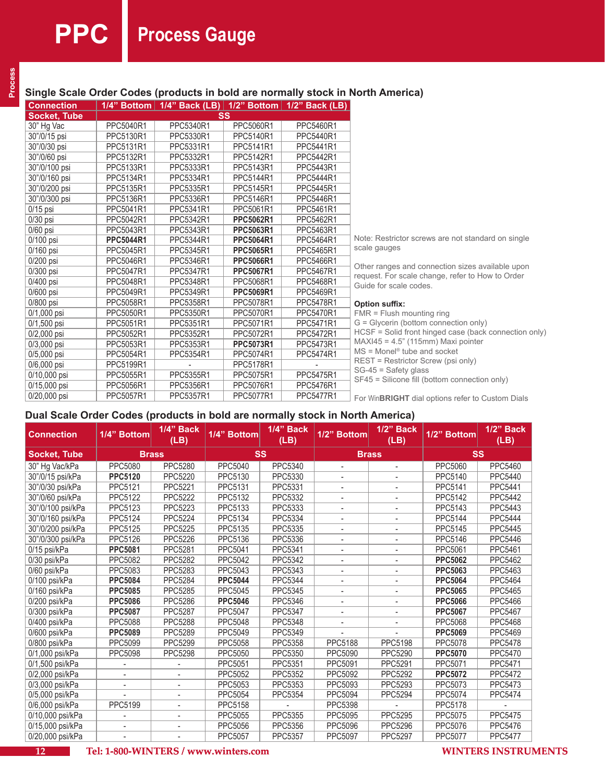# **Single Scale Order Codes (products in bold are normally stock in North America)**

| Connection          | <u> 1/4" Bottom  </u> |           |                  | 1/4" Back (LB)   $1/2$ " Bottom   $1/2$ " Back (LB) |                                                                            |
|---------------------|-----------------------|-----------|------------------|-----------------------------------------------------|----------------------------------------------------------------------------|
| <b>Socket, Tube</b> |                       |           | SS               |                                                     |                                                                            |
| 30" Hg Vac          | PPC5040R1             | PPC5340R1 | PPC5060R1        | PPC5460R1                                           |                                                                            |
| 30"/0/15 psi        | PPC5130R1             | PPC5330R1 | PPC5140R1        | PPC5440R1                                           |                                                                            |
| 30"/0/30 psi        | PPC5131R1             | PPC5331R1 | PPC5141R1        | PPC5441R1                                           |                                                                            |
| 30"/0/60 psi        | PPC5132R1             | PPC5332R1 | PPC5142R1        | PPC5442R1                                           |                                                                            |
| 30"/0/100 psi       | PPC5133R1             | PPC5333R1 | PPC5143R1        | PPC5443R1                                           |                                                                            |
| 30"/0/160 psi       | PPC5134R1             | PPC5334R1 | PPC5144R1        | PPC5444R1                                           |                                                                            |
| 30"/0/200 psi       | PPC5135R1             | PPC5335R1 | PPC5145R1        | PPC5445R1                                           |                                                                            |
| 30"/0/300 psi       | PPC5136R1             | PPC5336R1 | PPC5146R1        | PPC5446R1                                           |                                                                            |
| $0/15$ psi          | PPC5041R1             | PPC5341R1 | PPC5061R1        | PPC5461R1                                           |                                                                            |
| $0/30$ psi          | PPC5042R1             | PPC5342R1 | <b>PPC5062R1</b> | PPC5462R1                                           |                                                                            |
| $0/60$ psi          | PPC5043R1             | PPC5343R1 | <b>PPC5063R1</b> | PPC5463R1                                           |                                                                            |
| $0/100$ psi         | <b>PPC5044R1</b>      | PPC5344R1 | <b>PPC5064R1</b> | PPC5464R1                                           | Note: Restrictor screws are not standard on single                         |
| $0/160$ psi         | PPC5045R1             | PPC5345R1 | <b>PPC5065R1</b> | PPC5465R1                                           | scale gauges                                                               |
| $0/200$ psi         | PPC5046R1             | PPC5346R1 | <b>PPC5066R1</b> | PPC5466R1                                           |                                                                            |
| $0/300$ psi         | PPC5047R1             | PPC5347R1 | <b>PPC5067R1</b> | PPC5467R1                                           | Other ranges and connection sizes available upon                           |
| $0/400$ psi         | PPC5048R1             | PPC5348R1 | PPC5068R1        | PPC5468R1                                           | request. For scale change, refer to How to Order<br>Guide for scale codes. |
| 0/600 psi           | PPC5049R1             | PPC5349R1 | <b>PPC5069R1</b> | PPC5469R1                                           |                                                                            |
| 0/800 psi           | PPC5058R1             | PPC5358R1 | PPC5078R1        | PPC5478R1                                           | <b>Option suffix:</b>                                                      |
| $0/1,000$ psi       | PPC5050R1             | PPC5350R1 | PPC5070R1        | PPC5470R1                                           | FMR = Flush mounting ring                                                  |
| $0/1,500$ psi       | PPC5051R1             | PPC5351R1 | PPC5071R1        | PPC5471R1                                           | G = Glycerin (bottom connection only)                                      |
| $0/2,000$ psi       | PPC5052R1             | PPC5352R1 | PPC5072R1        | PPC5472R1                                           | HCSF = Solid front hinged case (back connection only)                      |
| $0/3,000$ psi       | PPC5053R1             | PPC5353R1 | PPC5073R1        | PPC5473R1                                           | $MAXI45 = 4.5"$ (115mm) Maxi pointer                                       |
| $0/5,000$ psi       | PPC5054R1             | PPC5354R1 | PPC5074R1        | PPC5474R1                                           | $MS = Monel^{\circledcirc}$ tube and socket                                |
| $0/6,000$ psi       | PPC5199R1             |           | PPC5178R1        |                                                     | REST = Restrictor Screw (psi only)                                         |
| 0/10,000 psi        | PPC5055R1             | PPC5355R1 | PPC5075R1        | PPC5475R1                                           | $SG-45 = Safety glass$                                                     |
| 0/15,000 psi        | PPC5056R1             | PPC5356R1 | PPC5076R1        | PPC5476R1                                           | SF45 = Silicone fill (bottom connection only)                              |
| 0/20,000 psi        | PPC5057R1             | PPC5357R1 | PPC5077R1        | PPC5477R1                                           | For Win <b>BRIGHT</b> dial options refer to Custom Dials                   |

## **Dual Scale Order Codes (products in bold are normally stock in North America)**

| <b>Connection</b>   | 1/4" Bottom              | 1/4" Back<br>(LB)        | 1/4" Bottom    | 1/4" Back<br>(LB) | 1/2" Bottom              | 1/2" Back<br>(LB) | 1/2" Bottom    | 1/2" Back<br>(LB) |
|---------------------|--------------------------|--------------------------|----------------|-------------------|--------------------------|-------------------|----------------|-------------------|
| <b>Socket, Tube</b> | <b>Brass</b>             |                          | <b>SS</b>      |                   | <b>Brass</b>             |                   | SS             |                   |
| 30" Hg Vac/kPa      | PPC5080                  | PPC5280                  | PPC5040        | <b>PPC5340</b>    | $\overline{a}$           |                   | PPC5060        | PPC5460           |
| 30"/0/15 psi/kPa    | <b>PPC5120</b>           | PPC5220                  | PPC5130        | PPC5330           |                          |                   | PPC5140        | PPC5440           |
| 30"/0/30 psi/kPa    | PPC5121                  | <b>PPC5221</b>           | PPC5131        | PPC5331           |                          |                   | PPC5141        | <b>PPC5441</b>    |
| 30"/0/60 psi/kPa    | PPC5122                  | <b>PPC5222</b>           | PPC5132        | PPC5332           | $\overline{a}$           |                   | <b>PPC5142</b> | <b>PPC5442</b>    |
| 30"/0/100 psi/kPa   | PPC5123                  | <b>PPC5223</b>           | PPC5133        | PPC5333           |                          |                   | PPC5143        | <b>PPC5443</b>    |
| 30"/0/160 psi/kPa   | PPC5124                  | <b>PPC5224</b>           | PPC5134        | PPC5334           | $\overline{\phantom{a}}$ |                   | <b>PPC5144</b> | <b>PPC5444</b>    |
| 30"/0/200 psi/kPa   | PPC5125                  | <b>PPC5225</b>           | PPC5135        | PPC5335           |                          |                   | <b>PPC5145</b> | <b>PPC5445</b>    |
| 30"/0/300 psi/kPa   | PPC5126                  | <b>PPC5226</b>           | PPC5136        | PPC5336           |                          |                   | PPC5146        | <b>PPC5446</b>    |
| 0/15 psi/kPa        | <b>PPC5081</b>           | <b>PPC5281</b>           | PPC5041        | PPC5341           |                          |                   | PPC5061        | <b>PPC5461</b>    |
| 0/30 psi/kPa        | PPC5082                  | <b>PPC5282</b>           | <b>PPC5042</b> | PPC5342           |                          |                   | <b>PPC5062</b> | PPC5462           |
| 0/60 psi/kPa        | PPC5083                  | PPC5283                  | PPC5043        | PPC5343           | $\overline{\phantom{a}}$ |                   | <b>PPC5063</b> | PPC5463           |
| 0/100 psi/kPa       | <b>PPC5084</b>           | <b>PPC5284</b>           | <b>PPC5044</b> | <b>PPC5344</b>    |                          |                   | <b>PPC5064</b> | <b>PPC5464</b>    |
| 0/160 psi/kPa       | <b>PPC5085</b>           | <b>PPC5285</b>           | <b>PPC5045</b> | PPC5345           |                          |                   | <b>PPC5065</b> | PPC5465           |
| 0/200 psi/kPa       | <b>PPC5086</b>           | <b>PPC5286</b>           | <b>PPC5046</b> | PPC5346           |                          |                   | <b>PPC5066</b> | <b>PPC5466</b>    |
| 0/300 psi/kPa       | <b>PPC5087</b>           | <b>PPC5287</b>           | PPC5047        | <b>PPC5347</b>    |                          |                   | <b>PPC5067</b> | <b>PPC5467</b>    |
| 0/400 psi/kPa       | PPC5088                  | <b>PPC5288</b>           | <b>PPC5048</b> | <b>PPC5348</b>    |                          |                   | PPC5068        | PPC5468           |
| 0/600 psi/kPa       | <b>PPC5089</b>           | <b>PPC5289</b>           | PPC5049        | PPC5349           |                          |                   | <b>PPC5069</b> | PPC5469           |
| 0/800 psi/kPa       | PPC5099                  | PPC5299                  | PPC5058        | PPC5358           | <b>PPC5188</b>           | <b>PPC5198</b>    | PPC5078        | <b>PPC5478</b>    |
| 0/1,000 psi/kPa     | PPC5098                  | <b>PPC5298</b>           | PPC5050        | PPC5350           | PPC5090                  | <b>PPC5290</b>    | <b>PPC5070</b> | <b>PPC5470</b>    |
| 0/1,500 psi/kPa     |                          |                          | PPC5051        | PPC5351           | PPC5091                  | PPC5291           | PPC5071        | PPC5471           |
| 0/2,000 psi/kPa     |                          |                          | <b>PPC5052</b> | PPC5352           | PPC5092                  | <b>PPC5292</b>    | <b>PPC5072</b> | <b>PPC5472</b>    |
| 0/3,000 psi/kPa     |                          |                          | PPC5053        | PPC5353           | PPC5093                  | PPC5293           | PPC5073        | PPC5473           |
| 0/5,000 psi/kPa     |                          |                          | <b>PPC5054</b> | PPC5354           | PPC5094                  | <b>PPC5294</b>    | <b>PPC5074</b> | <b>PPC5474</b>    |
| 0/6,000 psi/kPa     | PPC5199                  |                          | <b>PPC5158</b> |                   | <b>PPC5398</b>           |                   | <b>PPC5178</b> |                   |
| 0/10,000 psi/kPa    |                          |                          | PPC5055        | <b>PPC5355</b>    | PPC5095                  | <b>PPC5295</b>    | <b>PPC5075</b> | <b>PPC5475</b>    |
| 0/15,000 psi/kPa    |                          |                          | PPC5056        | <b>PPC5356</b>    | PPC5096                  | PPC5296           | PPC5076        | <b>PPC5476</b>    |
| 0/20,000 psi/kPa    | $\overline{\phantom{a}}$ | $\overline{\phantom{a}}$ | PPC5057        | PPC5357           | PPC5097                  | <b>PPC5297</b>    | <b>PPC5077</b> | <b>PPC5477</b>    |



**12 Tel: 1-800-WINTERS / www.winters.com WINTERS INSTRUMENTS**